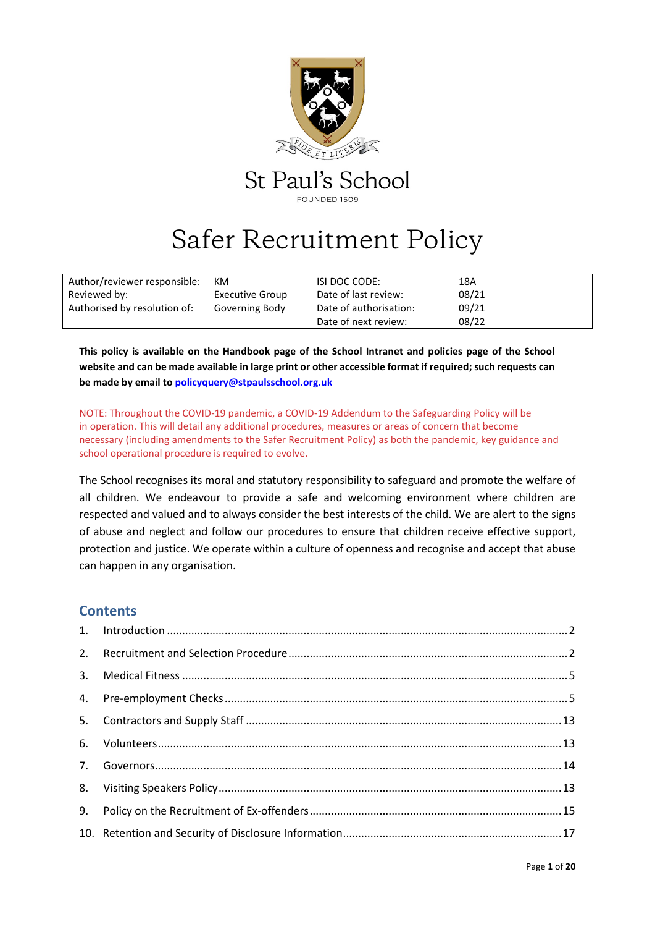

# Safer Recruitment Policy

| Author/reviewer responsible: | KM                     | ISI DOC CODE:          | 18A   |  |
|------------------------------|------------------------|------------------------|-------|--|
| Reviewed by:                 | <b>Executive Group</b> | Date of last review:   | 08/21 |  |
| Authorised by resolution of: | Governing Body         | Date of authorisation: | 09/21 |  |
|                              |                        | Date of next review:   | 08/22 |  |

**This policy is available on the Handbook page of the School Intranet and policies page of the School website and can be made available in large print or other accessible format if required; such requests can be made by email to [policyquery@stpaulsschool.org.uk](mailto:policyquery@stpaulsschool.org.uk)**

NOTE: Throughout the COVID-19 pandemic, a COVID-19 Addendum to the Safeguarding Policy will be in operation. This will detail any additional procedures, measures or areas of concern that become necessary (including amendments to the Safer Recruitment Policy) as both the pandemic, key guidance and school operational procedure is required to evolve.

The School recognises its moral and statutory responsibility to safeguard and promote the welfare of all children. We endeavour to provide a safe and welcoming environment where children are respected and valued and to always consider the best interests of the child. We are alert to the signs of abuse and neglect and follow our procedures to ensure that children receive effective support, protection and justice. We operate within a culture of openness and recognise and accept that abuse can happen in any organisation.

# **Contents**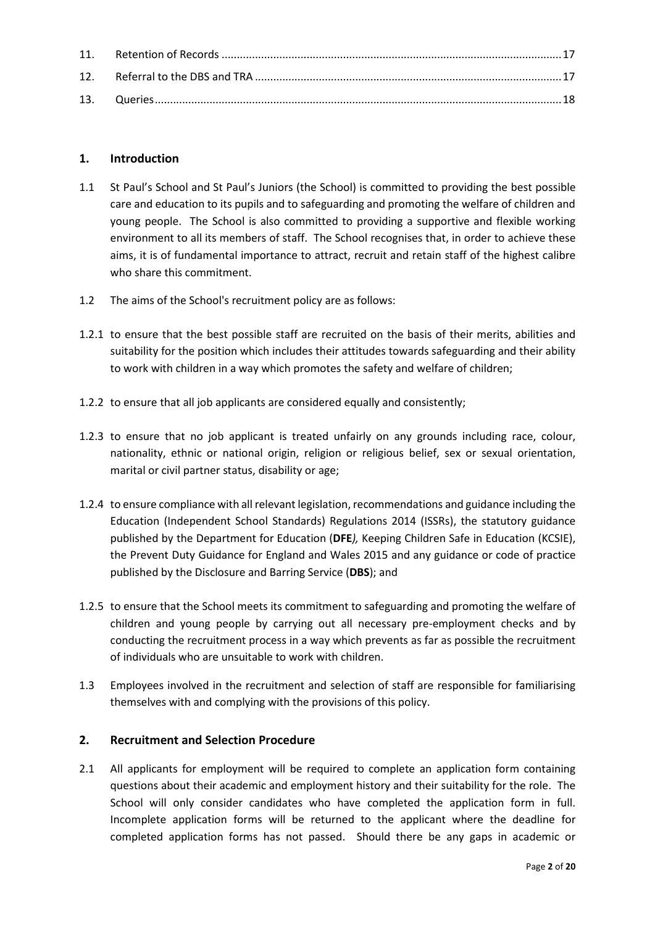# <span id="page-1-0"></span>**1. Introduction**

- 1.1 St Paul's School and St Paul's Juniors (the School) is committed to providing the best possible care and education to its pupils and to safeguarding and promoting the welfare of children and young people. The School is also committed to providing a supportive and flexible working environment to all its members of staff. The School recognises that, in order to achieve these aims, it is of fundamental importance to attract, recruit and retain staff of the highest calibre who share this commitment.
- 1.2 The aims of the School's recruitment policy are as follows:
- 1.2.1 to ensure that the best possible staff are recruited on the basis of their merits, abilities and suitability for the position which includes their attitudes towards safeguarding and their ability to work with children in a way which promotes the safety and welfare of children;
- 1.2.2 to ensure that all job applicants are considered equally and consistently;
- 1.2.3 to ensure that no job applicant is treated unfairly on any grounds including race, colour, nationality, ethnic or national origin, religion or religious belief, sex or sexual orientation, marital or civil partner status, disability or age;
- 1.2.4 to ensure compliance with all relevant legislation, recommendations and guidance including the Education (Independent School Standards) Regulations 2014 (ISSRs), the statutory guidance published by the Department for Education (**DFE***),* Keeping Children Safe in Education (KCSIE), the Prevent Duty Guidance for England and Wales 2015 and any guidance or code of practice published by the Disclosure and Barring Service (**DBS**); and
- 1.2.5 to ensure that the School meets its commitment to safeguarding and promoting the welfare of children and young people by carrying out all necessary pre-employment checks and by conducting the recruitment process in a way which prevents as far as possible the recruitment of individuals who are unsuitable to work with children.
- 1.3 Employees involved in the recruitment and selection of staff are responsible for familiarising themselves with and complying with the provisions of this policy.

# <span id="page-1-1"></span>**2. Recruitment and Selection Procedure**

2.1 All applicants for employment will be required to complete an application form containing questions about their academic and employment history and their suitability for the role. The School will only consider candidates who have completed the application form in full. Incomplete application forms will be returned to the applicant where the deadline for completed application forms has not passed. Should there be any gaps in academic or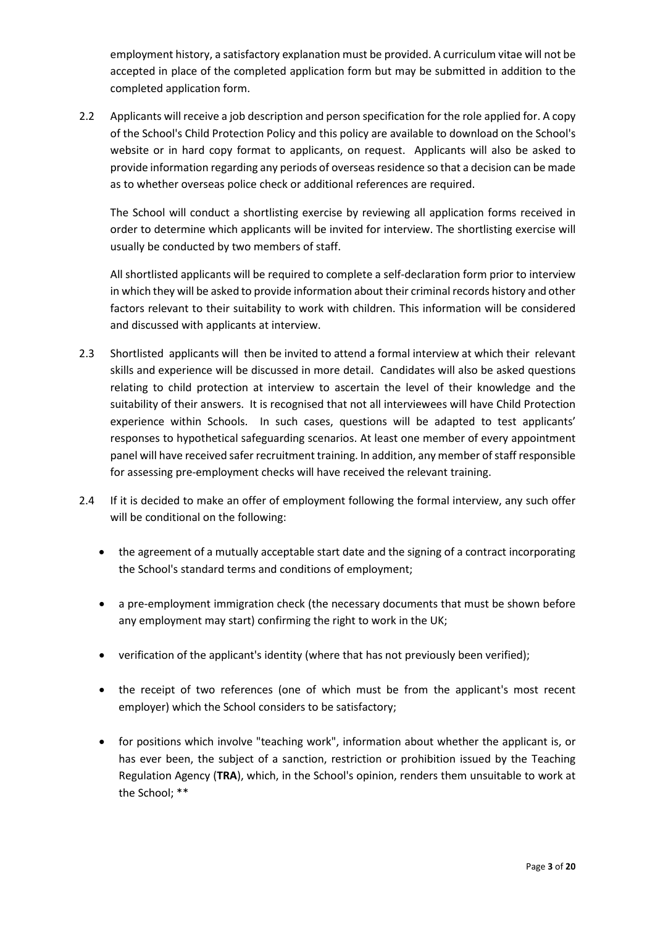employment history, a satisfactory explanation must be provided. A curriculum vitae will not be accepted in place of the completed application form but may be submitted in addition to the completed application form.

2.2 Applicants will receive a job description and person specification for the role applied for. A copy of the School's Child Protection Policy and this policy are available to download on the School's website or in hard copy format to applicants, on request. Applicants will also be asked to provide information regarding any periods of overseas residence so that a decision can be made as to whether overseas police check or additional references are required.

The School will conduct a shortlisting exercise by reviewing all application forms received in order to determine which applicants will be invited for interview. The shortlisting exercise will usually be conducted by two members of staff.

All shortlisted applicants will be required to complete a self-declaration form prior to interview in which they will be asked to provide information about their criminal records history and other factors relevant to their suitability to work with children. This information will be considered and discussed with applicants at interview.

- 2.3 Shortlisted applicants will then be invited to attend a formal interview at which their relevant skills and experience will be discussed in more detail. Candidates will also be asked questions relating to child protection at interview to ascertain the level of their knowledge and the suitability of their answers. It is recognised that not all interviewees will have Child Protection experience within Schools. In such cases, questions will be adapted to test applicants' responses to hypothetical safeguarding scenarios. At least one member of every appointment panel will have received safer recruitment training. In addition, any member of staff responsible for assessing pre-employment checks will have received the relevant training.
- 2.4 If it is decided to make an offer of employment following the formal interview, any such offer will be conditional on the following:
	- the agreement of a mutually acceptable start date and the signing of a contract incorporating the School's standard terms and conditions of employment;
	- a pre-employment immigration check (the necessary documents that must be shown before any employment may start) confirming the right to work in the UK;
	- verification of the applicant's identity (where that has not previously been verified);
	- the receipt of two references (one of which must be from the applicant's most recent employer) which the School considers to be satisfactory;
	- for positions which involve "teaching work", information about whether the applicant is, or has ever been, the subject of a sanction, restriction or prohibition issued by the Teaching Regulation Agency (**TRA**), which, in the School's opinion, renders them unsuitable to work at the School; \*\*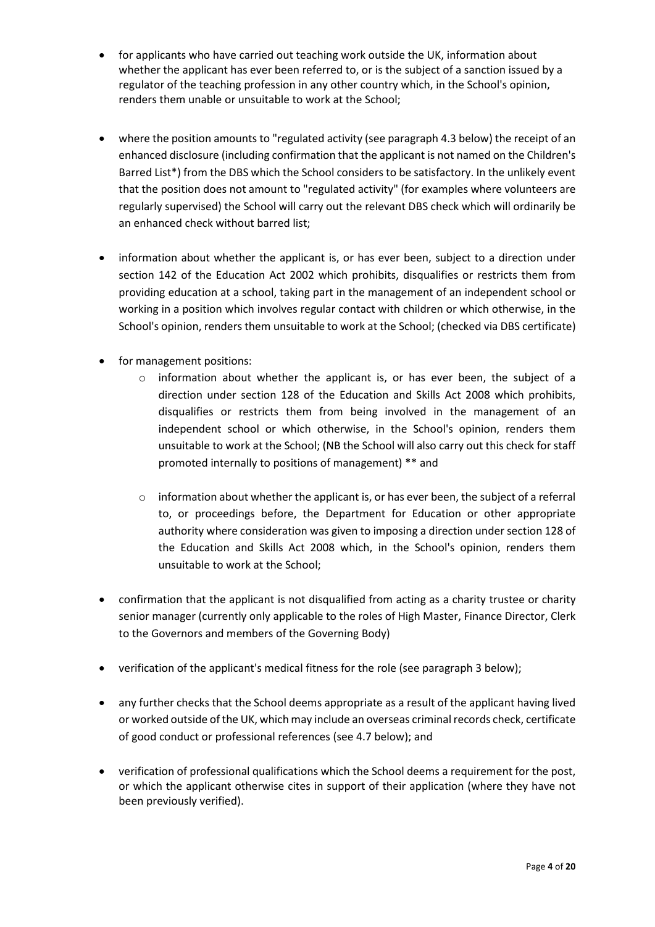- for applicants who have carried out teaching work outside the UK, information about whether the applicant has ever been referred to, or is the subject of a sanction issued by a regulator of the teaching profession in any other country which, in the School's opinion, renders them unable or unsuitable to work at the School;
- where the position amounts to "regulated activity (see paragraph 4.3 below) the receipt of an enhanced disclosure (including confirmation that the applicant is not named on the Children's Barred List\*) from the DBS which the School considers to be satisfactory. In the unlikely event that the position does not amount to "regulated activity" (for examples where volunteers are regularly supervised) the School will carry out the relevant DBS check which will ordinarily be an enhanced check without barred list;
- information about whether the applicant is, or has ever been, subject to a direction under section 142 of the Education Act 2002 which prohibits, disqualifies or restricts them from providing education at a school, taking part in the management of an independent school or working in a position which involves regular contact with children or which otherwise, in the School's opinion, renders them unsuitable to work at the School; (checked via DBS certificate)
- for management positions:
	- $\circ$  information about whether the applicant is, or has ever been, the subject of a direction under section 128 of the Education and Skills Act 2008 which prohibits, disqualifies or restricts them from being involved in the management of an independent school or which otherwise, in the School's opinion, renders them unsuitable to work at the School; (NB the School will also carry out this check for staff promoted internally to positions of management) \*\* and
	- $\circ$  information about whether the applicant is, or has ever been, the subject of a referral to, or proceedings before, the Department for Education or other appropriate authority where consideration was given to imposing a direction under section 128 of the Education and Skills Act 2008 which, in the School's opinion, renders them unsuitable to work at the School;
- confirmation that the applicant is not disqualified from acting as a charity trustee or charity senior manager (currently only applicable to the roles of High Master, Finance Director, Clerk to the Governors and members of the Governing Body)
- verification of the applicant's medical fitness for the role (see paragraph 3 below);
- any further checks that the School deems appropriate as a result of the applicant having lived or worked outside of the UK, which may include an overseas criminal records check, certificate of good conduct or professional references (see 4.7 below); and
- verification of professional qualifications which the School deems a requirement for the post, or which the applicant otherwise cites in support of their application (where they have not been previously verified).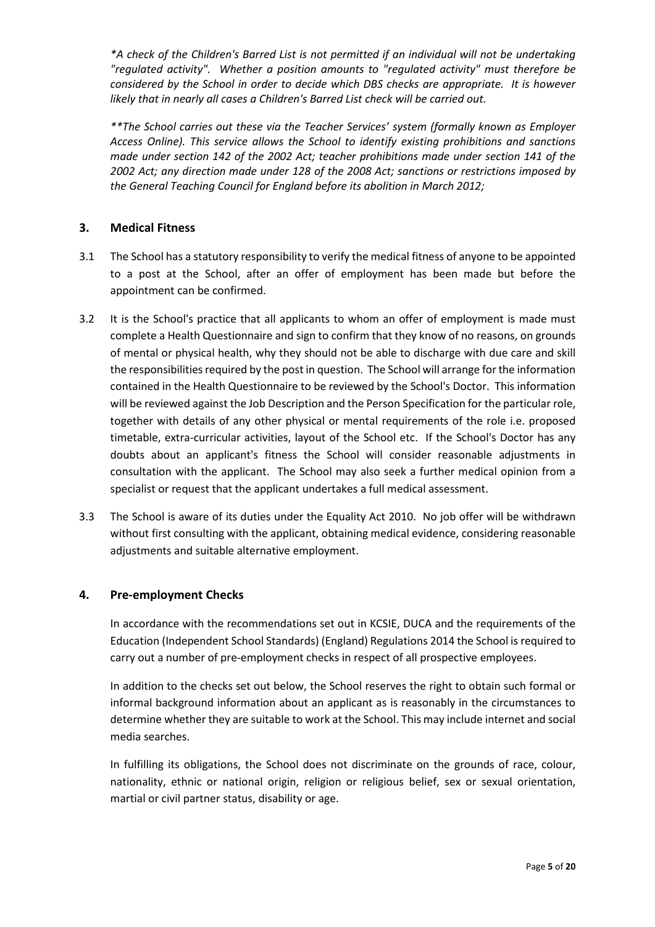*\*A check of the Children's Barred List is not permitted if an individual will not be undertaking "regulated activity". Whether a position amounts to "regulated activity" must therefore be considered by the School in order to decide which DBS checks are appropriate. It is however likely that in nearly all cases a Children's Barred List check will be carried out.*

*\*\*The School carries out these via the Teacher Services' system (formally known as Employer Access Online). This service allows the School to identify existing prohibitions and sanctions made under section 142 of the 2002 Act; teacher prohibitions made under section 141 of the 2002 Act; any direction made under 128 of the 2008 Act; sanctions or restrictions imposed by the General Teaching Council for England before its abolition in March 2012;* 

# <span id="page-4-0"></span>**3. Medical Fitness**

- 3.1 The School has a statutory responsibility to verify the medical fitness of anyone to be appointed to a post at the School, after an offer of employment has been made but before the appointment can be confirmed.
- 3.2 It is the School's practice that all applicants to whom an offer of employment is made must complete a Health Questionnaire and sign to confirm that they know of no reasons, on grounds of mental or physical health, why they should not be able to discharge with due care and skill the responsibilities required by the post in question. The School will arrange for the information contained in the Health Questionnaire to be reviewed by the School's Doctor. This information will be reviewed against the Job Description and the Person Specification for the particular role, together with details of any other physical or mental requirements of the role i.e. proposed timetable, extra-curricular activities, layout of the School etc. If the School's Doctor has any doubts about an applicant's fitness the School will consider reasonable adjustments in consultation with the applicant. The School may also seek a further medical opinion from a specialist or request that the applicant undertakes a full medical assessment.
- 3.3 The School is aware of its duties under the Equality Act 2010. No job offer will be withdrawn without first consulting with the applicant, obtaining medical evidence, considering reasonable adjustments and suitable alternative employment.

# <span id="page-4-1"></span>**4. Pre-employment Checks**

In accordance with the recommendations set out in KCSIE, DUCA and the requirements of the Education (Independent School Standards) (England) Regulations 2014 the School is required to carry out a number of pre-employment checks in respect of all prospective employees.

In addition to the checks set out below, the School reserves the right to obtain such formal or informal background information about an applicant as is reasonably in the circumstances to determine whether they are suitable to work at the School. This may include internet and social media searches.

In fulfilling its obligations, the School does not discriminate on the grounds of race, colour, nationality, ethnic or national origin, religion or religious belief, sex or sexual orientation, martial or civil partner status, disability or age.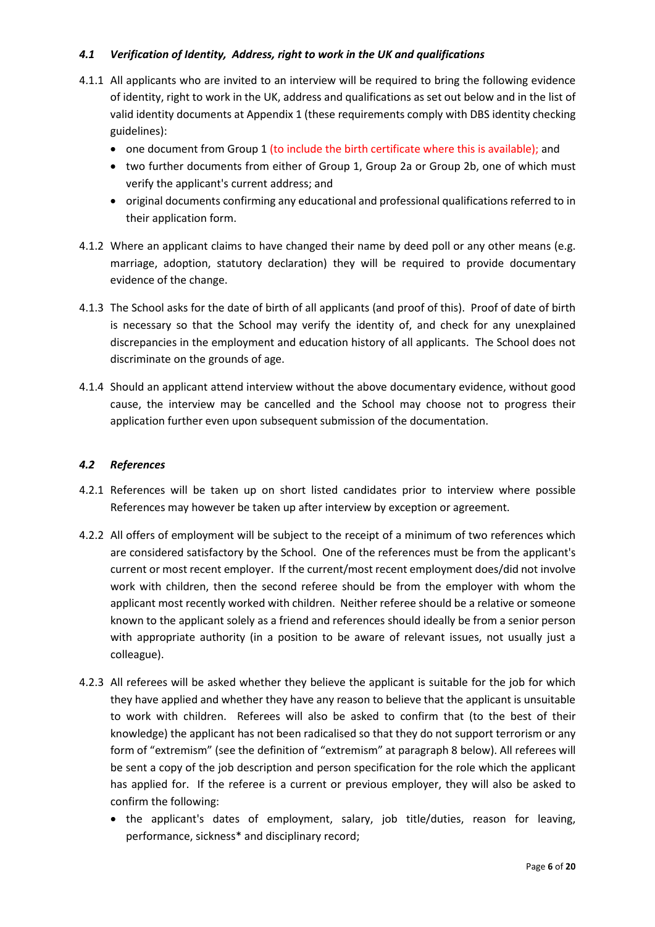# *4.1 Verification of Identity, Address, right to work in the UK and qualifications*

- 4.1.1 All applicants who are invited to an interview will be required to bring the following evidence of identity, right to work in the UK, address and qualifications as set out below and in the list of valid identity documents at Appendix 1 (these requirements comply with DBS identity checking guidelines):
	- one document from Group 1 (to include the birth certificate where this is available); and
	- two further documents from either of Group 1, Group 2a or Group 2b, one of which must verify the applicant's current address; and
	- original documents confirming any educational and professional qualifications referred to in their application form.
- 4.1.2 Where an applicant claims to have changed their name by deed poll or any other means (e.g. marriage, adoption, statutory declaration) they will be required to provide documentary evidence of the change.
- 4.1.3 The School asks for the date of birth of all applicants (and proof of this). Proof of date of birth is necessary so that the School may verify the identity of, and check for any unexplained discrepancies in the employment and education history of all applicants. The School does not discriminate on the grounds of age.
- 4.1.4 Should an applicant attend interview without the above documentary evidence, without good cause, the interview may be cancelled and the School may choose not to progress their application further even upon subsequent submission of the documentation.

#### *4.2 References*

- 4.2.1 References will be taken up on short listed candidates prior to interview where possible References may however be taken up after interview by exception or agreement.
- 4.2.2 All offers of employment will be subject to the receipt of a minimum of two references which are considered satisfactory by the School. One of the references must be from the applicant's current or most recent employer. If the current/most recent employment does/did not involve work with children, then the second referee should be from the employer with whom the applicant most recently worked with children. Neither referee should be a relative or someone known to the applicant solely as a friend and references should ideally be from a senior person with appropriate authority (in a position to be aware of relevant issues, not usually just a colleague).
- 4.2.3 All referees will be asked whether they believe the applicant is suitable for the job for which they have applied and whether they have any reason to believe that the applicant is unsuitable to work with children. Referees will also be asked to confirm that (to the best of their knowledge) the applicant has not been radicalised so that they do not support terrorism or any form of "extremism" (see the definition of "extremism" at paragraph 8 below). All referees will be sent a copy of the job description and person specification for the role which the applicant has applied for. If the referee is a current or previous employer, they will also be asked to confirm the following:
	- the applicant's dates of employment, salary, job title/duties, reason for leaving, performance, sickness\* and disciplinary record;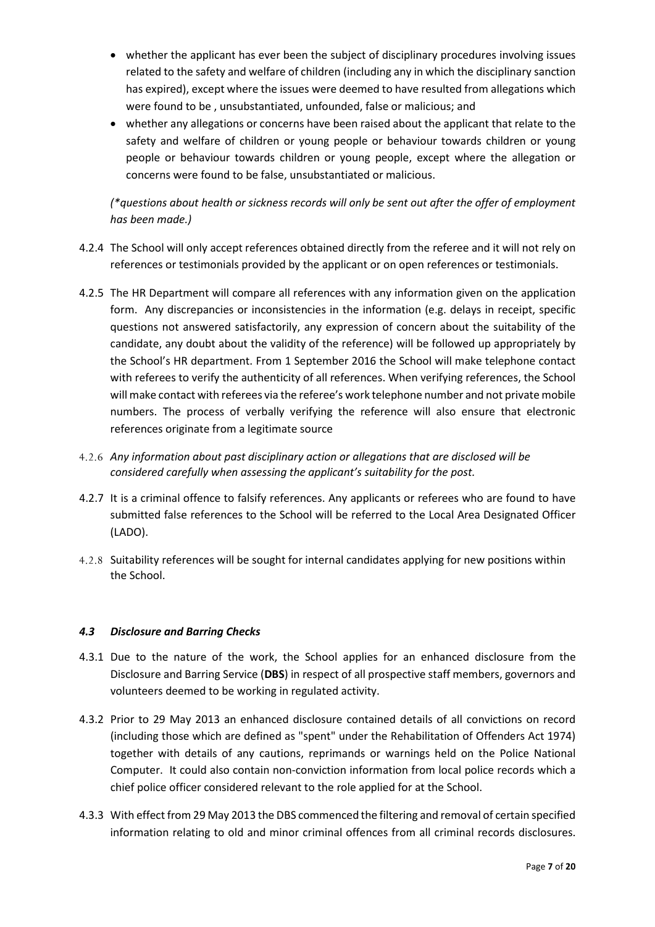- whether the applicant has ever been the subject of disciplinary procedures involving issues related to the safety and welfare of children (including any in which the disciplinary sanction has expired), except where the issues were deemed to have resulted from allegations which were found to be , unsubstantiated, unfounded, false or malicious; and
- whether any allegations or concerns have been raised about the applicant that relate to the safety and welfare of children or young people or behaviour towards children or young people or behaviour towards children or young people, except where the allegation or concerns were found to be false, unsubstantiated or malicious.

*(\*questions about health or sickness records will only be sent out after the offer of employment has been made.)*

- 4.2.4 The School will only accept references obtained directly from the referee and it will not rely on references or testimonials provided by the applicant or on open references or testimonials.
- 4.2.5 The HR Department will compare all references with any information given on the application form. Any discrepancies or inconsistencies in the information (e.g. delays in receipt, specific questions not answered satisfactorily, any expression of concern about the suitability of the candidate, any doubt about the validity of the reference) will be followed up appropriately by the School's HR department. From 1 September 2016 the School will make telephone contact with referees to verify the authenticity of all references. When verifying references, the School will make contact with referees via the referee's work telephone number and not private mobile numbers. The process of verbally verifying the reference will also ensure that electronic references originate from a legitimate source
- 4.2.6 *Any information about past disciplinary action or allegations that are disclosed will be considered carefully when assessing the applicant's suitability for the post.*
- 4.2.7 It is a criminal offence to falsify references. Any applicants or referees who are found to have submitted false references to the School will be referred to the Local Area Designated Officer (LADO).
- 4.2.8 Suitability references will be sought for internal candidates applying for new positions within the School.

# *4.3 Disclosure and Barring Checks*

- 4.3.1 Due to the nature of the work, the School applies for an enhanced disclosure from the Disclosure and Barring Service (**DBS**) in respect of all prospective staff members, governors and volunteers deemed to be working in regulated activity.
- 4.3.2 Prior to 29 May 2013 an enhanced disclosure contained details of all convictions on record (including those which are defined as "spent" under the Rehabilitation of Offenders Act 1974) together with details of any cautions, reprimands or warnings held on the Police National Computer. It could also contain non-conviction information from local police records which a chief police officer considered relevant to the role applied for at the School.
- 4.3.3 With effect from 29 May 2013 the DBS commenced the filtering and removal of certain specified information relating to old and minor criminal offences from all criminal records disclosures.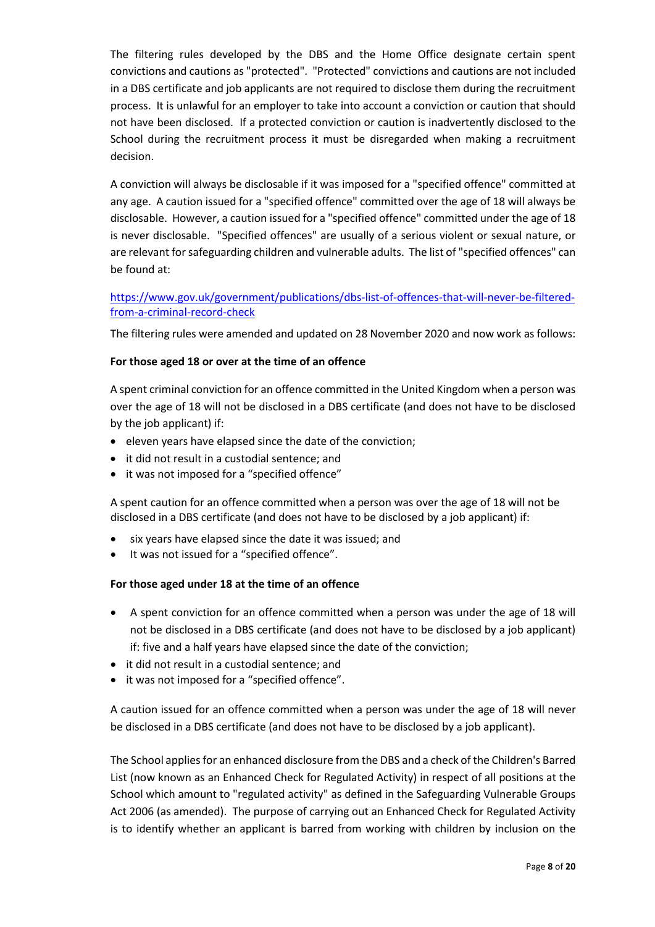The filtering rules developed by the DBS and the Home Office designate certain spent convictions and cautions as "protected". "Protected" convictions and cautions are not included in a DBS certificate and job applicants are not required to disclose them during the recruitment process. It is unlawful for an employer to take into account a conviction or caution that should not have been disclosed. If a protected conviction or caution is inadvertently disclosed to the School during the recruitment process it must be disregarded when making a recruitment decision.

A conviction will always be disclosable if it was imposed for a "specified offence" committed at any age. A caution issued for a "specified offence" committed over the age of 18 will always be disclosable. However, a caution issued for a "specified offence" committed under the age of 18 is never disclosable. "Specified offences" are usually of a serious violent or sexual nature, or are relevant for safeguarding children and vulnerable adults. The list of "specified offences" can be found at:

# [https://www.gov.uk/government/publications/dbs-list-of-offences-that-will-never-be-filtered](https://www.gov.uk/government/publications/dbs-list-of-offences-that-will-never-be-filtered-from-a-criminal-record-check)[from-a-criminal-record-check](https://www.gov.uk/government/publications/dbs-list-of-offences-that-will-never-be-filtered-from-a-criminal-record-check)

The filtering rules were amended and updated on 28 November 2020 and now work as follows:

## **For those aged 18 or over at the time of an offence**

A spent criminal conviction for an offence committed in the United Kingdom when a person was over the age of 18 will not be disclosed in a DBS certificate (and does not have to be disclosed by the job applicant) if:

- eleven years have elapsed since the date of the conviction;
- it did not result in a custodial sentence; and
- it was not imposed for a "specified offence"

A spent caution for an offence committed when a person was over the age of 18 will not be disclosed in a DBS certificate (and does not have to be disclosed by a job applicant) if:

- six years have elapsed since the date it was issued; and
- It was not issued for a "specified offence".

#### **For those aged under 18 at the time of an offence**

- A spent conviction for an offence committed when a person was under the age of 18 will not be disclosed in a DBS certificate (and does not have to be disclosed by a job applicant) if: five and a half years have elapsed since the date of the conviction;
- it did not result in a custodial sentence; and
- it was not imposed for a "specified offence".

A caution issued for an offence committed when a person was under the age of 18 will never be disclosed in a DBS certificate (and does not have to be disclosed by a job applicant).

The School applies for an enhanced disclosure from the DBS and a check of the Children's Barred List (now known as an Enhanced Check for Regulated Activity) in respect of all positions at the School which amount to "regulated activity" as defined in the Safeguarding Vulnerable Groups Act 2006 (as amended). The purpose of carrying out an Enhanced Check for Regulated Activity is to identify whether an applicant is barred from working with children by inclusion on the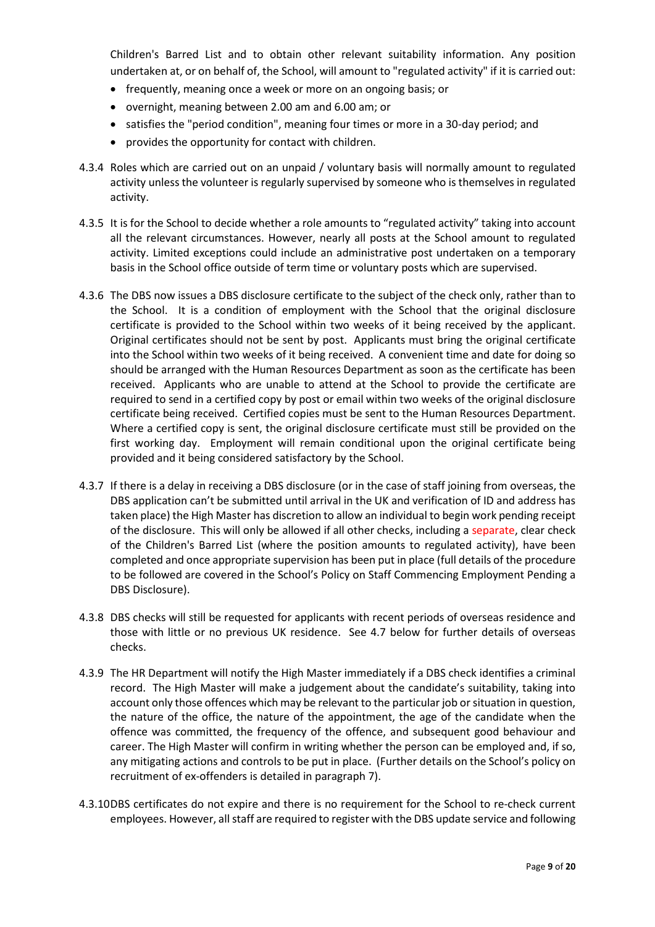Children's Barred List and to obtain other relevant suitability information. Any position undertaken at, or on behalf of, the School, will amount to "regulated activity" if it is carried out:

- frequently, meaning once a week or more on an ongoing basis; or
- overnight, meaning between 2.00 am and 6.00 am; or
- satisfies the "period condition", meaning four times or more in a 30-day period; and
- provides the opportunity for contact with children.
- 4.3.4 Roles which are carried out on an unpaid / voluntary basis will normally amount to regulated activity unless the volunteer is regularly supervised by someone who is themselves in regulated activity.
- 4.3.5 It is for the School to decide whether a role amounts to "regulated activity" taking into account all the relevant circumstances. However, nearly all posts at the School amount to regulated activity. Limited exceptions could include an administrative post undertaken on a temporary basis in the School office outside of term time or voluntary posts which are supervised.
- 4.3.6 The DBS now issues a DBS disclosure certificate to the subject of the check only, rather than to the School. It is a condition of employment with the School that the original disclosure certificate is provided to the School within two weeks of it being received by the applicant. Original certificates should not be sent by post. Applicants must bring the original certificate into the School within two weeks of it being received. A convenient time and date for doing so should be arranged with the Human Resources Department as soon as the certificate has been received. Applicants who are unable to attend at the School to provide the certificate are required to send in a certified copy by post or email within two weeks of the original disclosure certificate being received. Certified copies must be sent to the Human Resources Department. Where a certified copy is sent, the original disclosure certificate must still be provided on the first working day. Employment will remain conditional upon the original certificate being provided and it being considered satisfactory by the School.
- 4.3.7 If there is a delay in receiving a DBS disclosure (or in the case of staff joining from overseas, the DBS application can't be submitted until arrival in the UK and verification of ID and address has taken place) the High Master has discretion to allow an individual to begin work pending receipt of the disclosure. This will only be allowed if all other checks, including a separate, clear check of the Children's Barred List (where the position amounts to regulated activity), have been completed and once appropriate supervision has been put in place (full details of the procedure to be followed are covered in the School's Policy on Staff Commencing Employment Pending a DBS Disclosure).
- 4.3.8 DBS checks will still be requested for applicants with recent periods of overseas residence and those with little or no previous UK residence. See 4.7 below for further details of overseas checks.
- 4.3.9 The HR Department will notify the High Master immediately if a DBS check identifies a criminal record. The High Master will make a judgement about the candidate's suitability, taking into account only those offences which may be relevant to the particular job or situation in question, the nature of the office, the nature of the appointment, the age of the candidate when the offence was committed, the frequency of the offence, and subsequent good behaviour and career. The High Master will confirm in writing whether the person can be employed and, if so, any mitigating actions and controls to be put in place. (Further details on the School's policy on recruitment of ex-offenders is detailed in paragraph 7).
- 4.3.10DBS certificates do not expire and there is no requirement for the School to re-check current employees. However, all staff are required to register with the DBS update service and following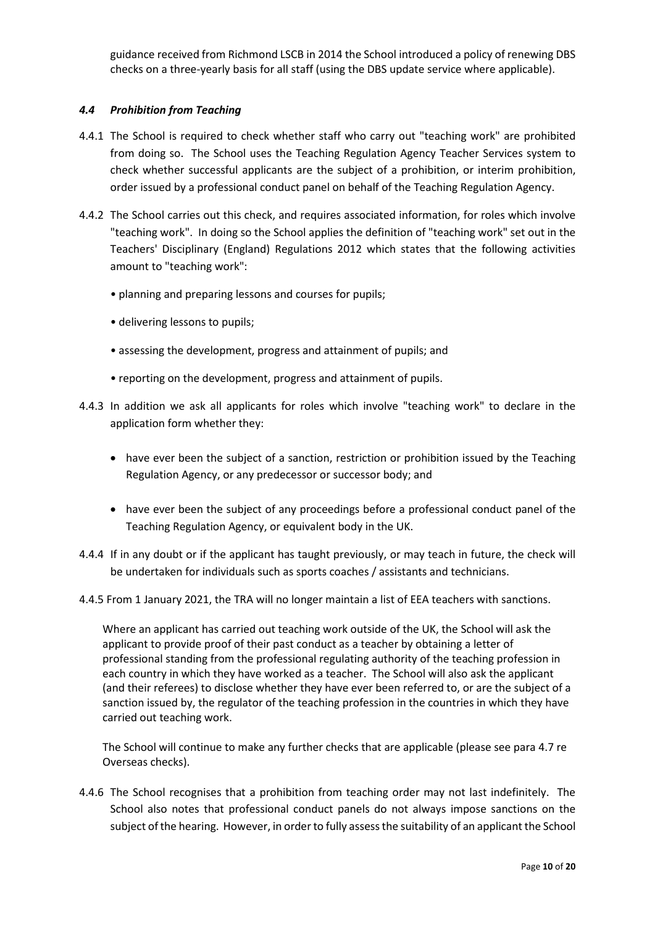guidance received from Richmond LSCB in 2014 the School introduced a policy of renewing DBS checks on a three-yearly basis for all staff (using the DBS update service where applicable).

## *4.4 Prohibition from Teaching*

- 4.4.1 The School is required to check whether staff who carry out "teaching work" are prohibited from doing so. The School uses the Teaching Regulation Agency Teacher Services system to check whether successful applicants are the subject of a prohibition, or interim prohibition, order issued by a professional conduct panel on behalf of the Teaching Regulation Agency.
- 4.4.2 The School carries out this check, and requires associated information, for roles which involve "teaching work". In doing so the School applies the definition of "teaching work" set out in the Teachers' Disciplinary (England) Regulations 2012 which states that the following activities amount to "teaching work":
	- planning and preparing lessons and courses for pupils;
	- delivering lessons to pupils;
	- assessing the development, progress and attainment of pupils; and
	- reporting on the development, progress and attainment of pupils.
- 4.4.3 In addition we ask all applicants for roles which involve "teaching work" to declare in the application form whether they:
	- have ever been the subject of a sanction, restriction or prohibition issued by the Teaching Regulation Agency, or any predecessor or successor body; and
	- have ever been the subject of any proceedings before a professional conduct panel of the Teaching Regulation Agency, or equivalent body in the UK.
- 4.4.4 If in any doubt or if the applicant has taught previously, or may teach in future, the check will be undertaken for individuals such as sports coaches / assistants and technicians.
- 4.4.5 From 1 January 2021, the TRA will no longer maintain a list of EEA teachers with sanctions.

Where an applicant has carried out teaching work outside of the UK, the School will ask the applicant to provide proof of their past conduct as a teacher by obtaining a letter of professional standing from the professional regulating authority of the teaching profession in each country in which they have worked as a teacher. The School will also ask the applicant (and their referees) to disclose whether they have ever been referred to, or are the subject of a sanction issued by, the regulator of the teaching profession in the countries in which they have carried out teaching work.

The School will continue to make any further checks that are applicable (please see para 4.7 re Overseas checks).

4.4.6 The School recognises that a prohibition from teaching order may not last indefinitely. The School also notes that professional conduct panels do not always impose sanctions on the subject of the hearing. However, in order to fully assess the suitability of an applicant the School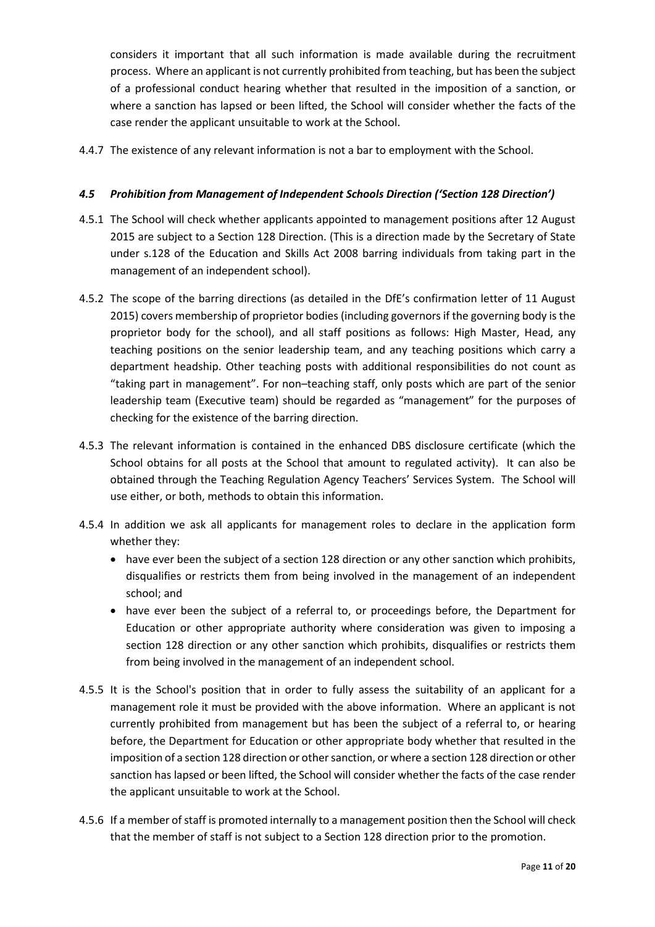considers it important that all such information is made available during the recruitment process. Where an applicant is not currently prohibited from teaching, but has been the subject of a professional conduct hearing whether that resulted in the imposition of a sanction, or where a sanction has lapsed or been lifted, the School will consider whether the facts of the case render the applicant unsuitable to work at the School.

4.4.7 The existence of any relevant information is not a bar to employment with the School.

#### *4.5 Prohibition from Management of Independent Schools Direction ('Section 128 Direction')*

- 4.5.1 The School will check whether applicants appointed to management positions after 12 August 2015 are subject to a Section 128 Direction. (This is a direction made by the Secretary of State under s.128 of the Education and Skills Act 2008 barring individuals from taking part in the management of an independent school).
- 4.5.2 The scope of the barring directions (as detailed in the DfE's confirmation letter of 11 August 2015) covers membership of proprietor bodies (including governors if the governing body is the proprietor body for the school), and all staff positions as follows: High Master, Head, any teaching positions on the senior leadership team, and any teaching positions which carry a department headship. Other teaching posts with additional responsibilities do not count as "taking part in management". For non–teaching staff, only posts which are part of the senior leadership team (Executive team) should be regarded as "management" for the purposes of checking for the existence of the barring direction.
- 4.5.3 The relevant information is contained in the enhanced DBS disclosure certificate (which the School obtains for all posts at the School that amount to regulated activity). It can also be obtained through the Teaching Regulation Agency Teachers' Services System. The School will use either, or both, methods to obtain this information.
- 4.5.4 In addition we ask all applicants for management roles to declare in the application form whether they:
	- have ever been the subject of a section 128 direction or any other sanction which prohibits, disqualifies or restricts them from being involved in the management of an independent school; and
	- have ever been the subject of a referral to, or proceedings before, the Department for Education or other appropriate authority where consideration was given to imposing a section 128 direction or any other sanction which prohibits, disqualifies or restricts them from being involved in the management of an independent school.
- 4.5.5 It is the School's position that in order to fully assess the suitability of an applicant for a management role it must be provided with the above information. Where an applicant is not currently prohibited from management but has been the subject of a referral to, or hearing before, the Department for Education or other appropriate body whether that resulted in the imposition of a section 128 direction or other sanction, or where a section 128 direction or other sanction has lapsed or been lifted, the School will consider whether the facts of the case render the applicant unsuitable to work at the School.
- 4.5.6 If a member of staff is promoted internally to a management position then the School will check that the member of staff is not subject to a Section 128 direction prior to the promotion.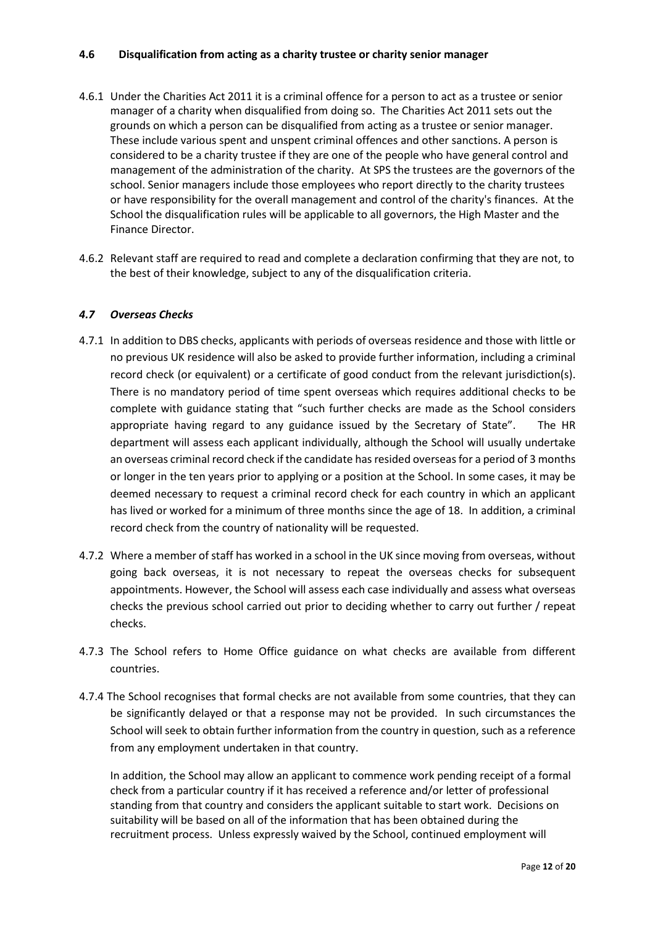#### **4.6 Disqualification from acting as a charity trustee or charity senior manager**

- 4.6.1 Under the Charities Act 2011 it is a criminal offence for a person to act as a trustee or senior manager of a charity when disqualified from doing so. The Charities Act 2011 sets out the grounds on which a person can be disqualified from acting as a trustee or senior manager. These include various spent and unspent criminal offences and other sanctions. A person is considered to be a charity trustee if they are one of the people who have general control and management of the administration of the charity. At SPS the trustees are the governors of the school. Senior managers include those employees who report directly to the charity trustees or have responsibility for the overall management and control of the charity's finances. At the School the disqualification rules will be applicable to all governors, the High Master and the Finance Director.
- 4.6.2 Relevant staff are required to read and complete a declaration confirming that they are not, to the best of their knowledge, subject to any of the disqualification criteria.

#### *4.7 Overseas Checks*

- 4.7.1 In addition to DBS checks, applicants with periods of overseas residence and those with little or no previous UK residence will also be asked to provide further information, including a criminal record check (or equivalent) or a certificate of good conduct from the relevant jurisdiction(s). There is no mandatory period of time spent overseas which requires additional checks to be complete with guidance stating that "such further checks are made as the School considers appropriate having regard to any guidance issued by the Secretary of State". The HR department will assess each applicant individually, although the School will usually undertake an overseas criminal record check if the candidate has resided overseas for a period of 3 months or longer in the ten years prior to applying or a position at the School. In some cases, it may be deemed necessary to request a criminal record check for each country in which an applicant has lived or worked for a minimum of three months since the age of 18. In addition, a criminal record check from the country of nationality will be requested.
- 4.7.2 Where a member of staff has worked in a school in the UK since moving from overseas, without going back overseas, it is not necessary to repeat the overseas checks for subsequent appointments. However, the School will assess each case individually and assess what overseas checks the previous school carried out prior to deciding whether to carry out further / repeat checks.
- 4.7.3 The School refers to Home Office guidance on what checks are available from different countries.
- 4.7.4 The School recognises that formal checks are not available from some countries, that they can be significantly delayed or that a response may not be provided. In such circumstances the School will seek to obtain further information from the country in question, such as a reference from any employment undertaken in that country.

In addition, the School may allow an applicant to commence work pending receipt of a formal check from a particular country if it has received a reference and/or letter of professional standing from that country and considers the applicant suitable to start work. Decisions on suitability will be based on all of the information that has been obtained during the recruitment process. Unless expressly waived by the School, continued employment will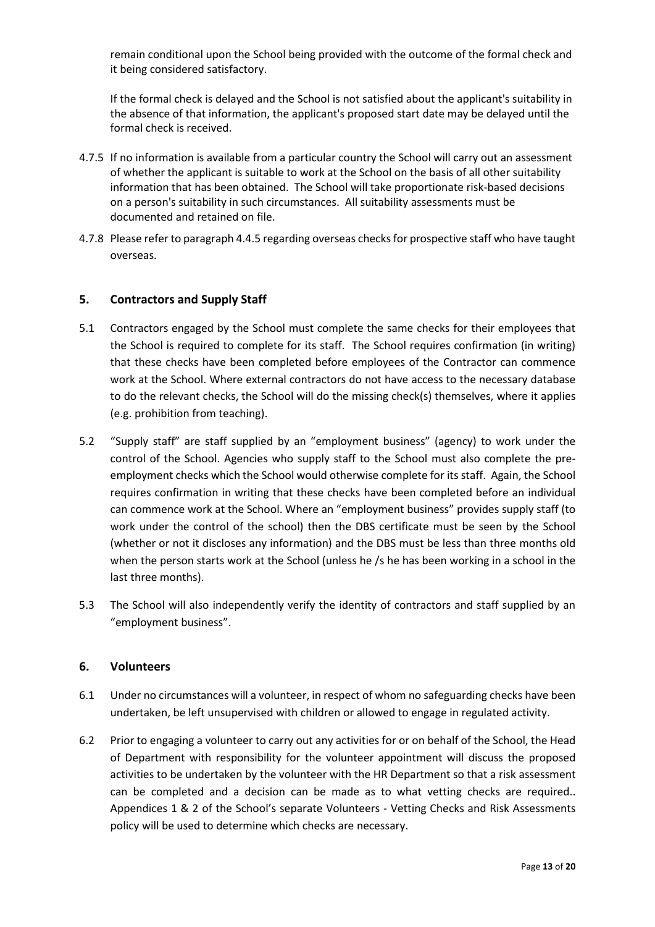remain conditional upon the School being provided with the outcome of the formal check and it being considered satisfactory.

If the formal check is delayed and the School is not satisfied about the applicant's suitability in the absence of that information, the applicant's proposed start date may be delayed until the formal check is received.

- 4.7.5 If no information is available from a particular country the School will carry out an assessment of whether the applicant is suitable to work at the School on the basis of all other suitability information that has been obtained. The School will take proportionate risk-based decisions on a person's suitability in such circumstances. All suitability assessments must be documented and retained on file.
- 4.7.8 Please refer to paragraph 4.4.5 regarding overseas checks for prospective staff who have taught overseas.

## <span id="page-12-0"></span>**5. Contractors and Supply Staff**

- 5.1 Contractors engaged by the School must complete the same checks for their employees that the School is required to complete for its staff. The School requires confirmation (in writing) that these checks have been completed before employees of the Contractor can commence work at the School. Where external contractors do not have access to the necessary database to do the relevant checks, the School will do the missing check(s) themselves, where it applies (e.g. prohibition from teaching).
- 5.2 "Supply staff" are staff supplied by an "employment business" (agency) to work under the control of the School. Agencies who supply staff to the School must also complete the preemployment checks which the School would otherwise complete for its staff. Again, the School requires confirmation in writing that these checks have been completed before an individual can commence work at the School. Where an "employment business" provides supply staff (to work under the control of the school) then the DBS certificate must be seen by the School (whether or not it discloses any information) and the DBS must be less than three months old when the person starts work at the School (unless he /s he has been working in a school in the last three months).
- 5.3 The School will also independently verify the identity of contractors and staff supplied by an "employment business".

#### <span id="page-12-1"></span>**6. Volunteers**

- 6.1 Under no circumstances will a volunteer, in respect of whom no safeguarding checks have been undertaken, be left unsupervised with children or allowed to engage in regulated activity.
- 6.2 Prior to engaging a volunteer to carry out any activities for or on behalf of the School, the Head of Department with responsibility for the volunteer appointment will discuss the proposed activities to be undertaken by the volunteer with the HR Department so that a risk assessment can be completed and a decision can be made as to what vetting checks are required.. Appendices 1 & 2 of the School's separate Volunteers - Vetting Checks and Risk Assessments policy will be used to determine which checks are necessary.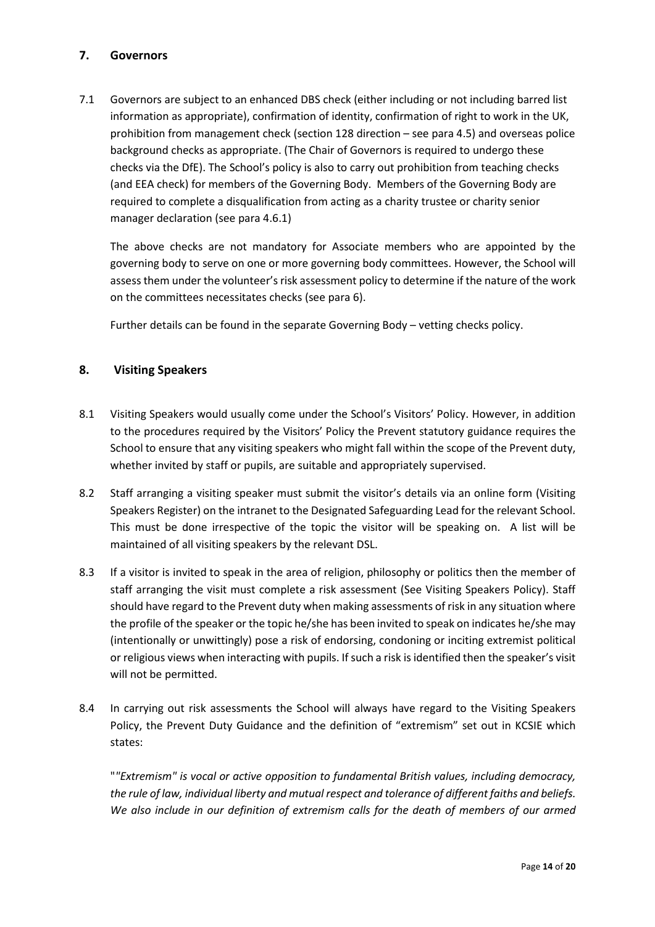# <span id="page-13-0"></span>**7. Governors**

7.1 Governors are subject to an enhanced DBS check (either including or not including barred list information as appropriate), confirmation of identity, confirmation of right to work in the UK, prohibition from management check (section 128 direction – see para 4.5) and overseas police background checks as appropriate. (The Chair of Governors is required to undergo these checks via the DfE). The School's policy is also to carry out prohibition from teaching checks (and EEA check) for members of the Governing Body. Members of the Governing Body are required to complete a disqualification from acting as a charity trustee or charity senior manager declaration (see para 4.6.1)

The above checks are not mandatory for Associate members who are appointed by the governing body to serve on one or more governing body committees. However, the School will assess them under the volunteer's risk assessment policy to determine if the nature of the work on the committees necessitates checks (see para 6).

Further details can be found in the separate Governing Body – vetting checks policy.

## **8. Visiting Speakers**

- 8.1 Visiting Speakers would usually come under the School's Visitors' Policy. However, in addition to the procedures required by the Visitors' Policy the Prevent statutory guidance requires the School to ensure that any visiting speakers who might fall within the scope of the Prevent duty, whether invited by staff or pupils, are suitable and appropriately supervised.
- 8.2 Staff arranging a visiting speaker must submit the visitor's details via an online form (Visiting Speakers Register) on the intranet to the Designated Safeguarding Lead for the relevant School. This must be done irrespective of the topic the visitor will be speaking on. A list will be maintained of all visiting speakers by the relevant DSL.
- 8.3 If a visitor is invited to speak in the area of religion, philosophy or politics then the member of staff arranging the visit must complete a risk assessment (See Visiting Speakers Policy). Staff should have regard to the Prevent duty when making assessments of risk in any situation where the profile of the speaker or the topic he/she has been invited to speak on indicates he/she may (intentionally or unwittingly) pose a risk of endorsing, condoning or inciting extremist political or religious views when interacting with pupils. If such a risk is identified then the speaker's visit will not be permitted.
- 8.4 In carrying out risk assessments the School will always have regard to the Visiting Speakers Policy, the Prevent Duty Guidance and the definition of "extremism" set out in KCSIE which states:

"*"Extremism" is vocal or active opposition to fundamental British values, including democracy, the rule of law, individual liberty and mutual respect and tolerance of different faiths and beliefs. We also include in our definition of extremism calls for the death of members of our armed*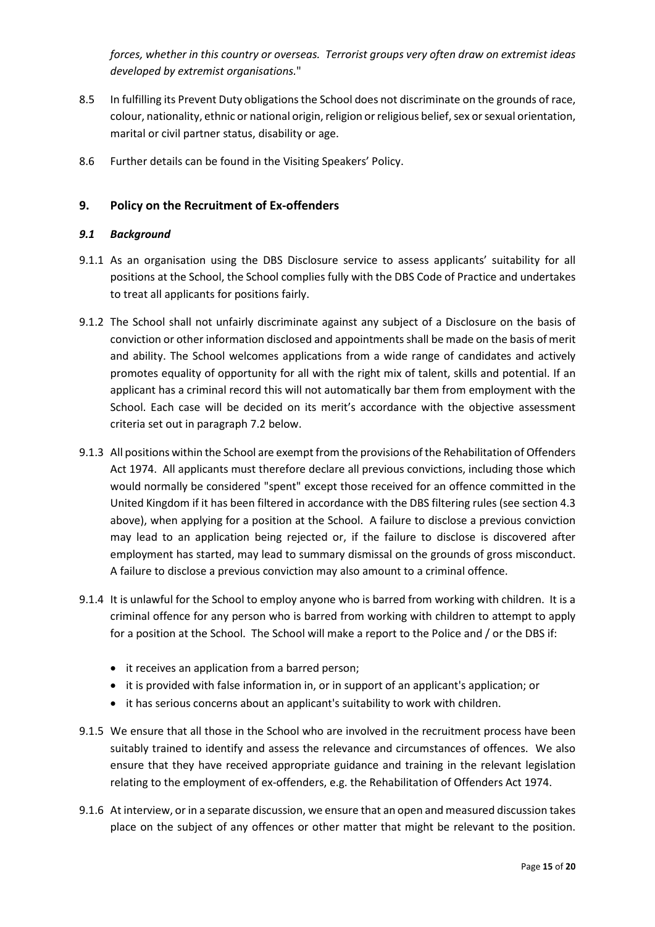*forces, whether in this country or overseas. Terrorist groups very often draw on extremist ideas developed by extremist organisations.*"

- 8.5 In fulfilling its Prevent Duty obligations the School does not discriminate on the grounds of race, colour, nationality, ethnic or national origin, religion or religious belief, sex or sexual orientation, marital or civil partner status, disability or age.
- 8.6 Further details can be found in the Visiting Speakers' Policy.

# <span id="page-14-0"></span>**9. Policy on the Recruitment of Ex-offenders**

#### *9.1 Background*

- 9.1.1 As an organisation using the DBS Disclosure service to assess applicants' suitability for all positions at the School, the School complies fully with the DBS Code of Practice and undertakes to treat all applicants for positions fairly.
- 9.1.2 The School shall not unfairly discriminate against any subject of a Disclosure on the basis of conviction or other information disclosed and appointments shall be made on the basis of merit and ability. The School welcomes applications from a wide range of candidates and actively promotes equality of opportunity for all with the right mix of talent, skills and potential. If an applicant has a criminal record this will not automatically bar them from employment with the School. Each case will be decided on its merit's accordance with the objective assessment criteria set out in paragraph 7.2 below.
- 9.1.3 All positions within the School are exempt from the provisions of the Rehabilitation of Offenders Act 1974. All applicants must therefore declare all previous convictions, including those which would normally be considered "spent" except those received for an offence committed in the United Kingdom if it has been filtered in accordance with the DBS filtering rules (see section 4.3 above), when applying for a position at the School. A failure to disclose a previous conviction may lead to an application being rejected or, if the failure to disclose is discovered after employment has started, may lead to summary dismissal on the grounds of gross misconduct. A failure to disclose a previous conviction may also amount to a criminal offence.
- 9.1.4 It is unlawful for the School to employ anyone who is barred from working with children. It is a criminal offence for any person who is barred from working with children to attempt to apply for a position at the School. The School will make a report to the Police and / or the DBS if:
	- it receives an application from a barred person;
	- it is provided with false information in, or in support of an applicant's application; or
	- it has serious concerns about an applicant's suitability to work with children.
- 9.1.5 We ensure that all those in the School who are involved in the recruitment process have been suitably trained to identify and assess the relevance and circumstances of offences. We also ensure that they have received appropriate guidance and training in the relevant legislation relating to the employment of ex-offenders, e.g. the Rehabilitation of Offenders Act 1974.
- 9.1.6 At interview, or in a separate discussion, we ensure that an open and measured discussion takes place on the subject of any offences or other matter that might be relevant to the position.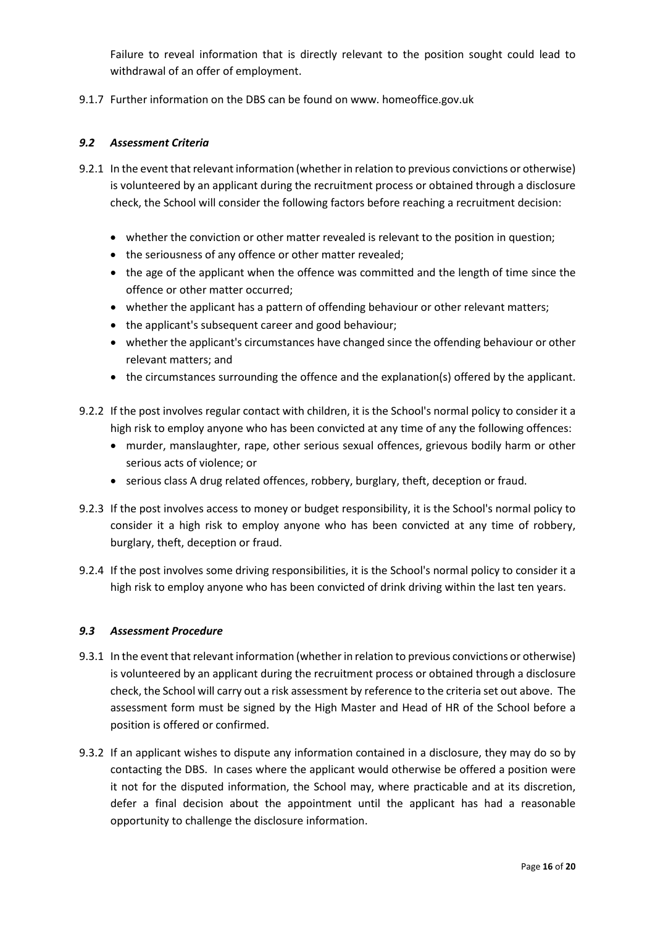Failure to reveal information that is directly relevant to the position sought could lead to withdrawal of an offer of employment.

9.1.7 Further information on the DBS can be found on www. homeoffice.gov.uk

#### *9.2 Assessment Criteria*

- 9.2.1 In the event that relevant information (whether in relation to previous convictions or otherwise) is volunteered by an applicant during the recruitment process or obtained through a disclosure check, the School will consider the following factors before reaching a recruitment decision:
	- whether the conviction or other matter revealed is relevant to the position in question:
	- the seriousness of any offence or other matter revealed;
	- the age of the applicant when the offence was committed and the length of time since the offence or other matter occurred;
	- whether the applicant has a pattern of offending behaviour or other relevant matters;
	- the applicant's subsequent career and good behaviour;
	- whether the applicant's circumstances have changed since the offending behaviour or other relevant matters; and
	- the circumstances surrounding the offence and the explanation(s) offered by the applicant.
- 9.2.2 If the post involves regular contact with children, it is the School's normal policy to consider it a high risk to employ anyone who has been convicted at any time of any the following offences:
	- murder, manslaughter, rape, other serious sexual offences, grievous bodily harm or other serious acts of violence; or
	- serious class A drug related offences, robbery, burglary, theft, deception or fraud.
- 9.2.3 If the post involves access to money or budget responsibility, it is the School's normal policy to consider it a high risk to employ anyone who has been convicted at any time of robbery, burglary, theft, deception or fraud.
- 9.2.4 If the post involves some driving responsibilities, it is the School's normal policy to consider it a high risk to employ anyone who has been convicted of drink driving within the last ten years.

#### *9.3 Assessment Procedure*

- 9.3.1 In the event that relevant information (whether in relation to previous convictions or otherwise) is volunteered by an applicant during the recruitment process or obtained through a disclosure check, the School will carry out a risk assessment by reference to the criteria set out above. The assessment form must be signed by the High Master and Head of HR of the School before a position is offered or confirmed.
- 9.3.2 If an applicant wishes to dispute any information contained in a disclosure, they may do so by contacting the DBS. In cases where the applicant would otherwise be offered a position were it not for the disputed information, the School may, where practicable and at its discretion, defer a final decision about the appointment until the applicant has had a reasonable opportunity to challenge the disclosure information.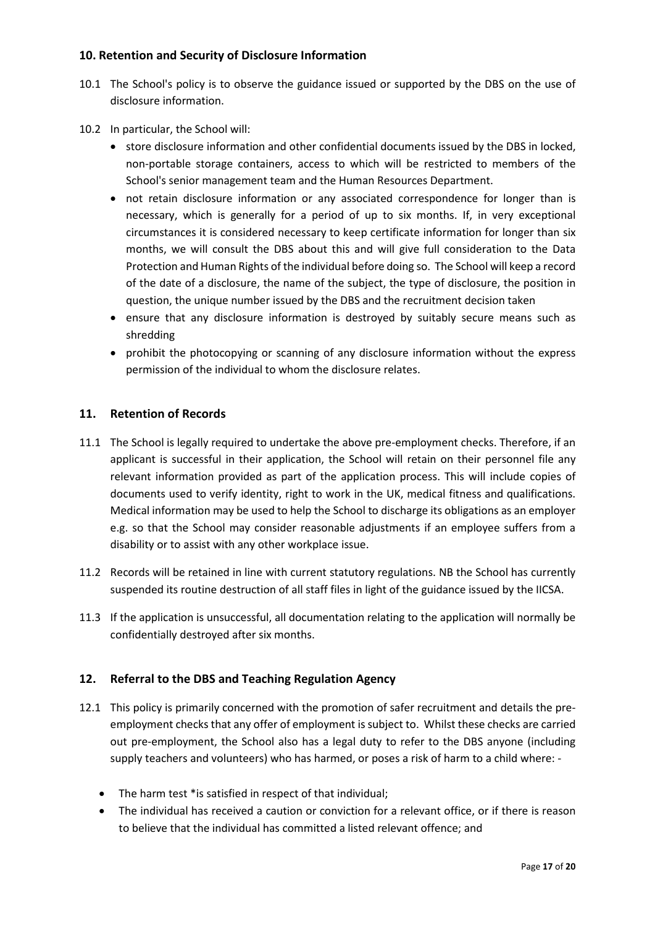# <span id="page-16-0"></span>**10. Retention and Security of Disclosure Information**

- 10.1 The School's policy is to observe the guidance issued or supported by the DBS on the use of disclosure information.
- 10.2 In particular, the School will:
	- store disclosure information and other confidential documents issued by the DBS in locked, non-portable storage containers, access to which will be restricted to members of the School's senior management team and the Human Resources Department.
	- not retain disclosure information or any associated correspondence for longer than is necessary, which is generally for a period of up to six months. If, in very exceptional circumstances it is considered necessary to keep certificate information for longer than six months, we will consult the DBS about this and will give full consideration to the Data Protection and Human Rights of the individual before doing so. The School will keep a record of the date of a disclosure, the name of the subject, the type of disclosure, the position in question, the unique number issued by the DBS and the recruitment decision taken
	- ensure that any disclosure information is destroyed by suitably secure means such as shredding
	- prohibit the photocopying or scanning of any disclosure information without the express permission of the individual to whom the disclosure relates.

## <span id="page-16-1"></span>**11. Retention of Records**

- 11.1 The School is legally required to undertake the above pre-employment checks. Therefore, if an applicant is successful in their application, the School will retain on their personnel file any relevant information provided as part of the application process. This will include copies of documents used to verify identity, right to work in the UK, medical fitness and qualifications. Medical information may be used to help the School to discharge its obligations as an employer e.g. so that the School may consider reasonable adjustments if an employee suffers from a disability or to assist with any other workplace issue.
- 11.2 Records will be retained in line with current statutory regulations. NB the School has currently suspended its routine destruction of all staff files in light of the guidance issued by the IICSA.
- 11.3 If the application is unsuccessful, all documentation relating to the application will normally be confidentially destroyed after six months.

# <span id="page-16-2"></span>**12. Referral to the DBS and Teaching Regulation Agency**

- 12.1 This policy is primarily concerned with the promotion of safer recruitment and details the preemployment checks that any offer of employment is subject to. Whilst these checks are carried out pre-employment, the School also has a legal duty to refer to the DBS anyone (including supply teachers and volunteers) who has harmed, or poses a risk of harm to a child where: -
	- The harm test \*is satisfied in respect of that individual;
	- The individual has received a caution or conviction for a relevant office, or if there is reason to believe that the individual has committed a listed relevant offence; and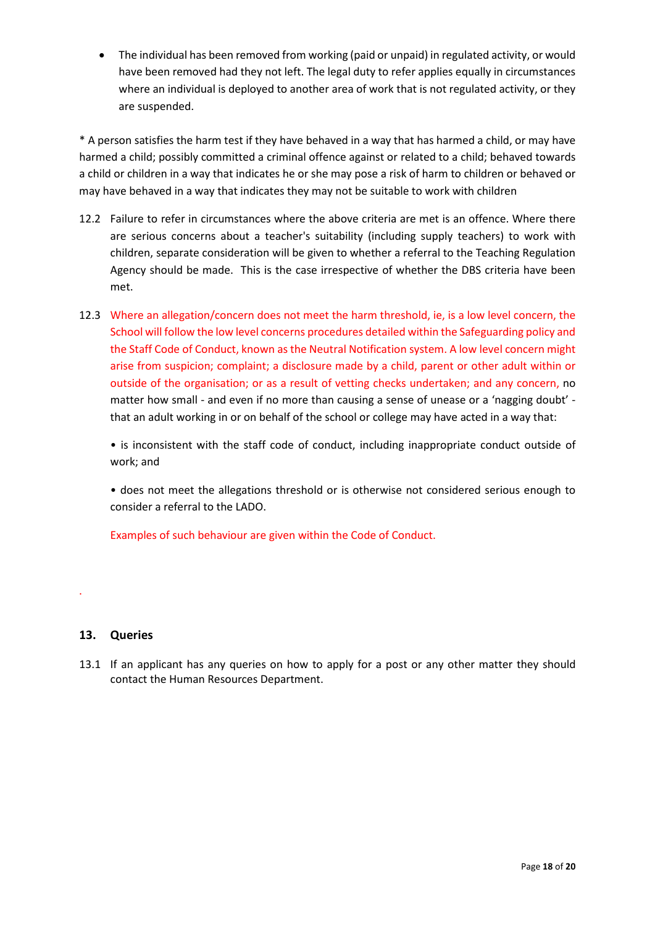• The individual has been removed from working (paid or unpaid) in regulated activity, or would have been removed had they not left. The legal duty to refer applies equally in circumstances where an individual is deployed to another area of work that is not regulated activity, or they are suspended.

\* A person satisfies the harm test if they have behaved in a way that has harmed a child, or may have harmed a child; possibly committed a criminal offence against or related to a child; behaved towards a child or children in a way that indicates he or she may pose a risk of harm to children or behaved or may have behaved in a way that indicates they may not be suitable to work with children

- 12.2 Failure to refer in circumstances where the above criteria are met is an offence. Where there are serious concerns about a teacher's suitability (including supply teachers) to work with children, separate consideration will be given to whether a referral to the Teaching Regulation Agency should be made. This is the case irrespective of whether the DBS criteria have been met.
- 12.3 Where an allegation/concern does not meet the harm threshold, ie, is a low level concern, the School will follow the low level concerns procedures detailed within the Safeguarding policy and the Staff Code of Conduct, known as the Neutral Notification system. A low level concern might arise from suspicion; complaint; a disclosure made by a child, parent or other adult within or outside of the organisation; or as a result of vetting checks undertaken; and any concern, no matter how small - and even if no more than causing a sense of unease or a 'nagging doubt' that an adult working in or on behalf of the school or college may have acted in a way that:

• is inconsistent with the staff code of conduct, including inappropriate conduct outside of work; and

• does not meet the allegations threshold or is otherwise not considered serious enough to consider a referral to the LADO.

Examples of such behaviour are given within the Code of Conduct.

# <span id="page-17-0"></span>**13. Queries**

.

13.1 If an applicant has any queries on how to apply for a post or any other matter they should contact the Human Resources Department.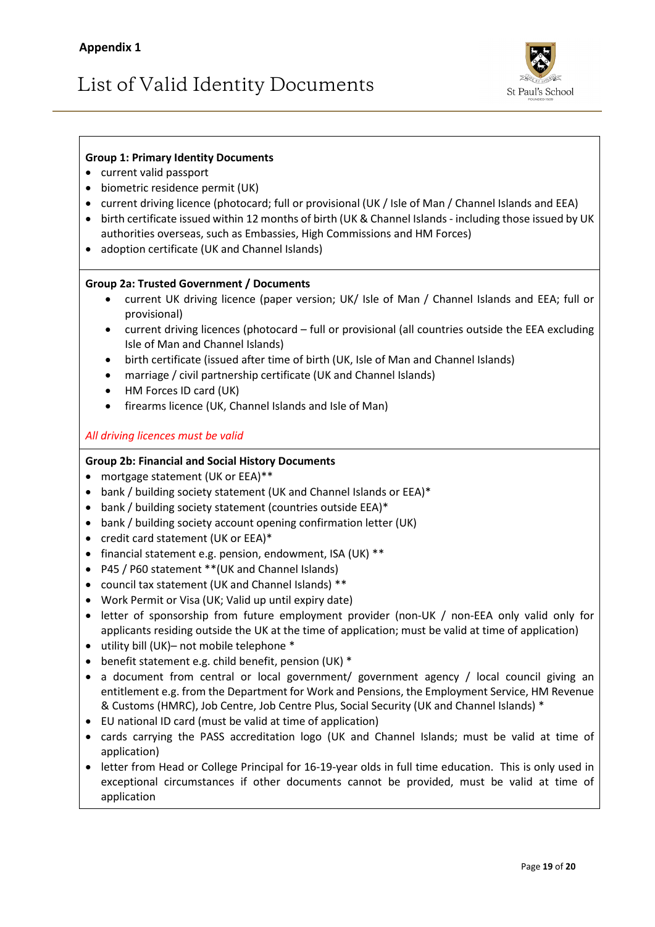# List of Valid Identity Documents



# **Group 1: Primary Identity Documents**

- current valid passport
- biometric residence permit (UK)
- current driving licence (photocard; full or provisional (UK / Isle of Man / Channel Islands and EEA)
- birth certificate issued within 12 months of birth (UK & Channel Islands including those issued by UK authorities overseas, such as Embassies, High Commissions and HM Forces)
- adoption certificate (UK and Channel Islands)

#### **Group 2a: Trusted Government / Documents**

- current UK driving licence (paper version; UK/ Isle of Man / Channel Islands and EEA; full or provisional)
- current driving licences (photocard full or provisional (all countries outside the EEA excluding Isle of Man and Channel Islands)
- birth certificate (issued after time of birth (UK, Isle of Man and Channel Islands)
- marriage / civil partnership certificate (UK and Channel Islands)
- HM Forces ID card (UK)
- firearms licence (UK, Channel Islands and Isle of Man)

## *All driving licences must be valid*

#### **Group 2b: Financial and Social History Documents**

- mortgage statement (UK or EEA)\*\*
- bank / building society statement (UK and Channel Islands or EEA)\*
- bank / building society statement (countries outside EEA)\*
- bank / building society account opening confirmation letter (UK)
- credit card statement (UK or EEA)\*
- financial statement e.g. pension, endowment, ISA (UK) \*\*
- P45 / P60 statement \*\*(UK and Channel Islands)
- council tax statement (UK and Channel Islands) \*\*
- Work Permit or Visa (UK; Valid up until expiry date)
- letter of sponsorship from future employment provider (non-UK / non-EEA only valid only for applicants residing outside the UK at the time of application; must be valid at time of application)
- utility bill (UK)– not mobile telephone \*
- benefit statement e.g. child benefit, pension (UK) \*
- a document from central or local government/ government agency / local council giving an entitlement e.g. from the Department for Work and Pensions, the Employment Service, HM Revenue & Customs (HMRC), Job Centre, Job Centre Plus, Social Security (UK and Channel Islands) \*
- EU national ID card (must be valid at time of application)
- cards carrying the PASS accreditation logo (UK and Channel Islands; must be valid at time of application)
- letter from Head or College Principal for 16-19-year olds in full time education. This is only used in exceptional circumstances if other documents cannot be provided, must be valid at time of application